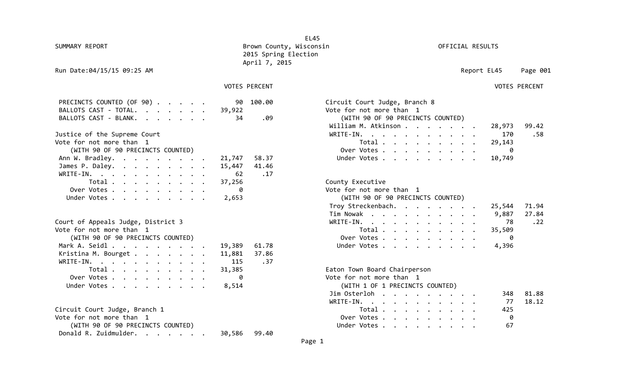SUMMARY REPORT

EL45

2015 Spring Election

April 7, 2015

Run Date:04/15/15 09:25 AM Report EL45 Page 001

VOTES PERCENT

# **VOTES PERCENT**

| BALLOTS CAST - TOTAL.<br>Vote for not more than 1<br>39,922<br>BALLOTS CAST - BLANK.<br>.09<br>(WITH 90 OF 90 PRECINCTS COUNTED)<br>34<br>William M. Atkinson<br>28,973<br>Justice of the Supreme Court<br>WRITE-IN.<br>170<br>Vote for not more than 1<br>29,143<br>Total<br>(WITH 90 OF 90 PRECINCTS COUNTED)<br>Over Votes<br>0<br>Ann W. Bradley.<br>10,749<br>21,747<br>58.37<br>Under Votes<br>James P. Daley.<br>41.46<br>15,447<br>WRITE-IN.<br>.17<br>62<br>County Executive<br>Total<br>37,256<br>Vote for not more than 1<br>Over Votes<br>- 0<br>(WITH 90 OF 90 PRECINCTS COUNTED)<br>Under Votes<br>2,653<br>Troy Streckenbach.<br>25,544<br>Tim Nowak<br>9,887<br>78<br>Court of Appeals Judge, District 3<br>WRITE-IN.<br>35,509<br>Vote for not more than 1<br>Total<br>(WITH 90 OF 90 PRECINCTS COUNTED)<br>Over Votes<br>0<br>Mark A. Seidl<br>61.78<br>Under Votes<br>4,396<br>19,389<br>Kristina M. Bourget<br>11,881<br>37.86<br>WRITE-IN.<br>115<br>.37<br>Eaton Town Board Chairperson<br>Total<br>31,385<br>Vote for not more than 1<br>Over Votes<br>0<br>(WITH 1 OF 1 PRECINCTS COUNTED)<br>Under Votes<br>8,514<br>Jim Osterloh $\cdots$ $\cdots$ $\cdots$ $\cdots$<br>348<br>77<br>WRITE-IN.<br>425<br>Circuit Court Judge, Branch 1<br>Total<br>Vote for not more than 1<br>0<br>Over Votes<br>(WITH 90 OF 90 PRECINCTS COUNTED)<br>67<br>Under Votes<br>Donald R. Zuidmulder.<br>30,586<br>99.40 | PRECINCTS COUNTED (OF 90) | 100.00<br>90 | Circuit Court Judge, Branch 8 |
|--------------------------------------------------------------------------------------------------------------------------------------------------------------------------------------------------------------------------------------------------------------------------------------------------------------------------------------------------------------------------------------------------------------------------------------------------------------------------------------------------------------------------------------------------------------------------------------------------------------------------------------------------------------------------------------------------------------------------------------------------------------------------------------------------------------------------------------------------------------------------------------------------------------------------------------------------------------------------------------------------------------------------------------------------------------------------------------------------------------------------------------------------------------------------------------------------------------------------------------------------------------------------------------------------------------------------------------------------------------------------------------------------------------------------------|---------------------------|--------------|-------------------------------|
|                                                                                                                                                                                                                                                                                                                                                                                                                                                                                                                                                                                                                                                                                                                                                                                                                                                                                                                                                                                                                                                                                                                                                                                                                                                                                                                                                                                                                                |                           |              |                               |
|                                                                                                                                                                                                                                                                                                                                                                                                                                                                                                                                                                                                                                                                                                                                                                                                                                                                                                                                                                                                                                                                                                                                                                                                                                                                                                                                                                                                                                |                           |              |                               |
|                                                                                                                                                                                                                                                                                                                                                                                                                                                                                                                                                                                                                                                                                                                                                                                                                                                                                                                                                                                                                                                                                                                                                                                                                                                                                                                                                                                                                                |                           |              |                               |
|                                                                                                                                                                                                                                                                                                                                                                                                                                                                                                                                                                                                                                                                                                                                                                                                                                                                                                                                                                                                                                                                                                                                                                                                                                                                                                                                                                                                                                |                           |              |                               |
|                                                                                                                                                                                                                                                                                                                                                                                                                                                                                                                                                                                                                                                                                                                                                                                                                                                                                                                                                                                                                                                                                                                                                                                                                                                                                                                                                                                                                                |                           |              |                               |
|                                                                                                                                                                                                                                                                                                                                                                                                                                                                                                                                                                                                                                                                                                                                                                                                                                                                                                                                                                                                                                                                                                                                                                                                                                                                                                                                                                                                                                |                           |              |                               |
|                                                                                                                                                                                                                                                                                                                                                                                                                                                                                                                                                                                                                                                                                                                                                                                                                                                                                                                                                                                                                                                                                                                                                                                                                                                                                                                                                                                                                                |                           |              |                               |
|                                                                                                                                                                                                                                                                                                                                                                                                                                                                                                                                                                                                                                                                                                                                                                                                                                                                                                                                                                                                                                                                                                                                                                                                                                                                                                                                                                                                                                |                           |              |                               |
|                                                                                                                                                                                                                                                                                                                                                                                                                                                                                                                                                                                                                                                                                                                                                                                                                                                                                                                                                                                                                                                                                                                                                                                                                                                                                                                                                                                                                                |                           |              |                               |
|                                                                                                                                                                                                                                                                                                                                                                                                                                                                                                                                                                                                                                                                                                                                                                                                                                                                                                                                                                                                                                                                                                                                                                                                                                                                                                                                                                                                                                |                           |              |                               |
|                                                                                                                                                                                                                                                                                                                                                                                                                                                                                                                                                                                                                                                                                                                                                                                                                                                                                                                                                                                                                                                                                                                                                                                                                                                                                                                                                                                                                                |                           |              |                               |
|                                                                                                                                                                                                                                                                                                                                                                                                                                                                                                                                                                                                                                                                                                                                                                                                                                                                                                                                                                                                                                                                                                                                                                                                                                                                                                                                                                                                                                |                           |              |                               |
|                                                                                                                                                                                                                                                                                                                                                                                                                                                                                                                                                                                                                                                                                                                                                                                                                                                                                                                                                                                                                                                                                                                                                                                                                                                                                                                                                                                                                                |                           |              |                               |
|                                                                                                                                                                                                                                                                                                                                                                                                                                                                                                                                                                                                                                                                                                                                                                                                                                                                                                                                                                                                                                                                                                                                                                                                                                                                                                                                                                                                                                |                           |              |                               |
|                                                                                                                                                                                                                                                                                                                                                                                                                                                                                                                                                                                                                                                                                                                                                                                                                                                                                                                                                                                                                                                                                                                                                                                                                                                                                                                                                                                                                                |                           |              |                               |
|                                                                                                                                                                                                                                                                                                                                                                                                                                                                                                                                                                                                                                                                                                                                                                                                                                                                                                                                                                                                                                                                                                                                                                                                                                                                                                                                                                                                                                |                           |              |                               |
|                                                                                                                                                                                                                                                                                                                                                                                                                                                                                                                                                                                                                                                                                                                                                                                                                                                                                                                                                                                                                                                                                                                                                                                                                                                                                                                                                                                                                                |                           |              |                               |
|                                                                                                                                                                                                                                                                                                                                                                                                                                                                                                                                                                                                                                                                                                                                                                                                                                                                                                                                                                                                                                                                                                                                                                                                                                                                                                                                                                                                                                |                           |              |                               |
|                                                                                                                                                                                                                                                                                                                                                                                                                                                                                                                                                                                                                                                                                                                                                                                                                                                                                                                                                                                                                                                                                                                                                                                                                                                                                                                                                                                                                                |                           |              |                               |
|                                                                                                                                                                                                                                                                                                                                                                                                                                                                                                                                                                                                                                                                                                                                                                                                                                                                                                                                                                                                                                                                                                                                                                                                                                                                                                                                                                                                                                |                           |              |                               |
|                                                                                                                                                                                                                                                                                                                                                                                                                                                                                                                                                                                                                                                                                                                                                                                                                                                                                                                                                                                                                                                                                                                                                                                                                                                                                                                                                                                                                                |                           |              |                               |
|                                                                                                                                                                                                                                                                                                                                                                                                                                                                                                                                                                                                                                                                                                                                                                                                                                                                                                                                                                                                                                                                                                                                                                                                                                                                                                                                                                                                                                |                           |              |                               |
|                                                                                                                                                                                                                                                                                                                                                                                                                                                                                                                                                                                                                                                                                                                                                                                                                                                                                                                                                                                                                                                                                                                                                                                                                                                                                                                                                                                                                                |                           |              |                               |
|                                                                                                                                                                                                                                                                                                                                                                                                                                                                                                                                                                                                                                                                                                                                                                                                                                                                                                                                                                                                                                                                                                                                                                                                                                                                                                                                                                                                                                |                           |              |                               |
|                                                                                                                                                                                                                                                                                                                                                                                                                                                                                                                                                                                                                                                                                                                                                                                                                                                                                                                                                                                                                                                                                                                                                                                                                                                                                                                                                                                                                                |                           |              |                               |
|                                                                                                                                                                                                                                                                                                                                                                                                                                                                                                                                                                                                                                                                                                                                                                                                                                                                                                                                                                                                                                                                                                                                                                                                                                                                                                                                                                                                                                |                           |              |                               |
|                                                                                                                                                                                                                                                                                                                                                                                                                                                                                                                                                                                                                                                                                                                                                                                                                                                                                                                                                                                                                                                                                                                                                                                                                                                                                                                                                                                                                                |                           |              |                               |
|                                                                                                                                                                                                                                                                                                                                                                                                                                                                                                                                                                                                                                                                                                                                                                                                                                                                                                                                                                                                                                                                                                                                                                                                                                                                                                                                                                                                                                |                           |              |                               |
|                                                                                                                                                                                                                                                                                                                                                                                                                                                                                                                                                                                                                                                                                                                                                                                                                                                                                                                                                                                                                                                                                                                                                                                                                                                                                                                                                                                                                                |                           |              |                               |

| NCTS COUNTED (OF 90) 90 100.00  |                                                                                                                 | Circuit Court Judge, Branch 8       |
|---------------------------------|-----------------------------------------------------------------------------------------------------------------|-------------------------------------|
| TS CAST - TOTAL.                | 39,922 and the set of the set of the set of the set of the set of the set of the set of the set of the set of t | Vote for not more than 1            |
| TS CAST - BLANK. 34 .09         |                                                                                                                 | (WITH 90 OF 90 PRECINCTS COUNTED)   |
|                                 |                                                                                                                 | William M. Atkinson 28,973<br>99.42 |
| e of the Supreme Court          |                                                                                                                 | WRITE-IN. 170<br>.58                |
| or not more than 1              |                                                                                                                 | Total 29,143                        |
| ITH 90 OF 90 PRECINCTS COUNTED) |                                                                                                                 |                                     |
| . Bradley. 21,747               | 58.37                                                                                                           | Under Votes 10,749                  |
|                                 |                                                                                                                 |                                     |

| Total 37,256                      | County Executive                   |
|-----------------------------------|------------------------------------|
| Over Votes 0                      | Vote for not more than 1           |
| nder Votes 2,653                  | (WITH 90 OF 90 PRECINCTS COUNTED)  |
|                                   | 71.94<br>Troy Streckenbach. 25,544 |
|                                   | Tim Nowak 9,887<br>27.84           |
| t of Appeals Judge, District 3    | $\ldots$<br>WRITE-IN. 78           |
| for not more than 1               | Total 35,509                       |
| (WITH 90 OF 90 PRECINCTS COUNTED) | 0 ver Votes 0                      |
| k A. Seidl 19,389 61.78           | Under Votes 4,396                  |

| Eaton Town Board Chairperson    |       |  |  |  |  |     |       |
|---------------------------------|-------|--|--|--|--|-----|-------|
| Vote for not more than 1        |       |  |  |  |  |     |       |
| (WITH 1 OF 1 PRECINCTS COUNTED) |       |  |  |  |  |     |       |
| $Jim$ Osterloh                  |       |  |  |  |  | 348 | 81.88 |
| WRITE-IN.                       |       |  |  |  |  | 77  | 18.12 |
|                                 | Total |  |  |  |  | 425 |       |
| Over Votes.                     |       |  |  |  |  | 0   |       |
| Under Votes                     |       |  |  |  |  | 67  |       |

# Brown County, Wisconsin **Brown County, Wisconsin**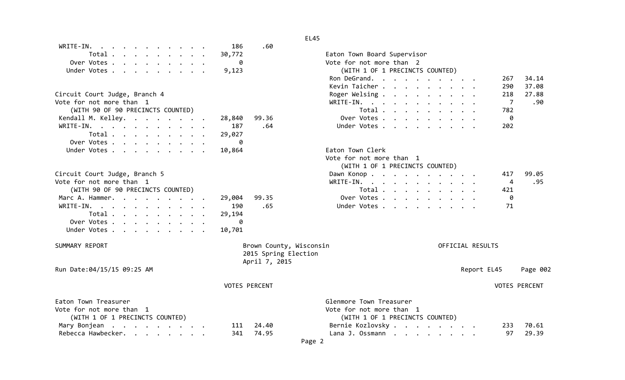| WRITE-IN.                         | .60<br>186              |                                 |          |
|-----------------------------------|-------------------------|---------------------------------|----------|
| Total                             | 30,772                  | Eaton Town Board Supervisor     |          |
| Over Votes                        | 0                       | Vote for not more than 2        |          |
| Under Votes                       | 9,123                   | (WITH 1 OF 1 PRECINCTS COUNTED) |          |
|                                   |                         | Ron DeGrand.<br>267             | 34.14    |
|                                   |                         | Kevin Taicher<br>290            | 37.08    |
| Circuit Court Judge, Branch 4     |                         | 218                             | 27.88    |
|                                   |                         | Roger Welsing                   |          |
| Vote for not more than 1          |                         | $\overline{7}$<br>WRITE-IN.     | .90      |
| (WITH 90 OF 90 PRECINCTS COUNTED) |                         | Total<br>782                    |          |
| Kendall M. Kelley.                | 28,840<br>99.36         | Over Votes<br>0                 |          |
| WRITE-IN.                         | 187<br>.64              | Under Votes<br>202              |          |
| Total                             | 29,027                  |                                 |          |
| Over Votes                        | 0                       |                                 |          |
| Under Votes                       | 10,864                  | Eaton Town Clerk                |          |
|                                   |                         | Vote for not more than 1        |          |
|                                   |                         | (WITH 1 OF 1 PRECINCTS COUNTED) |          |
| Circuit Court Judge, Branch 5     |                         | Dawn Konop.<br>417              | 99.05    |
| Vote for not more than 1          |                         | WRITE-IN.<br>4                  | .95      |
| (WITH 90 OF 90 PRECINCTS COUNTED) |                         | Total<br>421                    |          |
| Marc A. Hammer.                   | 29,004<br>99.35         | Over Votes<br>g                 |          |
|                                   |                         |                                 |          |
| WRITE-IN.                         | 190<br>.65              | 71<br>Under Votes               |          |
| Total                             | 29,194                  |                                 |          |
| Over Votes                        | 0                       |                                 |          |
| Under Votes                       | 10,701                  |                                 |          |
| SUMMARY REPORT                    | Brown County, Wisconsin | OFFICIAL RESULTS                |          |
|                                   | 2015 Spring Election    |                                 |          |
|                                   |                         |                                 |          |
|                                   | April 7, 2015           |                                 |          |
| Run Date: 04/15/15 09:25 AM       |                         | Report EL45                     | Page 002 |
|                                   | <b>VOTES PERCENT</b>    | <b>VOTES PERCENT</b>            |          |
| Eaton Town Treasurer              |                         | Glenmore Town Treasurer         |          |
| Vote for not more than 1          |                         | Vote for not more than 1        |          |
| (WITH 1 OF 1 PRECINCTS COUNTED)   |                         | (WITH 1 OF 1 PRECINCTS COUNTED) |          |
|                                   | 24.40                   |                                 | 70.61    |
| Mary Bonjean                      | 111                     | Bernie Kozlovsky<br>233         |          |
| Rebecca Hawbecker.                | 74.95<br>341            | Lana J. Ossmann<br>97           | 29.39    |
|                                   | Page 2                  |                                 |          |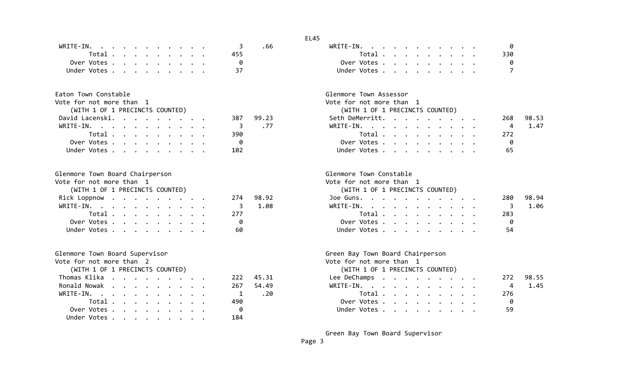| WRITE-IN. 3 |  |  |  |  |  |               | WRITE-IN.   |       |  |  |  |  |      |
|-------------|--|--|--|--|--|---------------|-------------|-------|--|--|--|--|------|
|             |  |  |  |  |  | Total<br>455. |             | Total |  |  |  |  | -330 |
| Over Votes  |  |  |  |  |  |               | Over Votes  |       |  |  |  |  |      |
| Under Votes |  |  |  |  |  |               | Under Votes |       |  |  |  |  |      |

| Eaton Town Constable |  |
|----------------------|--|
|----------------------|--|

| Vote for not more than  1       |  |  |  |  |     |       | Vote for not more than 1        |     |
|---------------------------------|--|--|--|--|-----|-------|---------------------------------|-----|
| (WITH 1 OF 1 PRECINCTS COUNTED) |  |  |  |  |     |       | (WITH 1 OF 1 PRECINCTS COUNTED) |     |
| David Lacenski.                 |  |  |  |  | 387 | 99.23 | Seth DeMerritt.                 | 268 |
| WRITE-IN.                       |  |  |  |  |     | .77   | WRITE-IN.                       | - 4 |
| Total                           |  |  |  |  | 390 |       | Total                           | 272 |
| Over Votes                      |  |  |  |  | - 0 |       | Over Votes                      |     |
| Under Votes                     |  |  |  |  | 102 |       | Under Votes                     | -65 |

| Glenmore Town Board Chairperson |           | Glenmore Town Constable         |                            |
|---------------------------------|-----------|---------------------------------|----------------------------|
| Vote for not more than 1        |           | Vote for not more than 1        |                            |
| (WITH 1 OF 1 PRECINCTS COUNTED) |           | (WITH 1 OF 1 PRECINCTS COUNTED) |                            |
| Rick Loppnow                    | 274 98.92 | Joe Guns.                       | 280                        |
| WRITE-IN. $\qquad \qquad$       | 1.08      | WRITE-IN.                       | $\overline{\phantom{a}}$ 3 |
| Total 277                       |           | Total                           | 283                        |
| Over Votes                      | -0        | Over Votes                      | - 0                        |
| Under Votes                     | -60       | Under Votes                     | 54                         |

| Glenmore Town Board Supervisor  |  |  |  |  |     |           | Green Bay Town Board Chairperson |
|---------------------------------|--|--|--|--|-----|-----------|----------------------------------|
| Vote for not more than 2        |  |  |  |  |     |           | Vote for not more than 1         |
| (WITH 1 OF 1 PRECINCTS COUNTED) |  |  |  |  |     |           | (WITH 1 OF 1 PRECINCTS COUNTED)  |
| Thomas Klika                    |  |  |  |  |     | 222 45.31 | Lee DeChamps                     |
| Ronald Nowak                    |  |  |  |  |     | 267 54.49 | WRITE-IN.                        |
| WRITE-IN.                       |  |  |  |  |     | 1.20      | Total $\cdots$ $\cdots$ $\cdots$ |
| Total                           |  |  |  |  | 490 |           | Over Votes                       |
|                                 |  |  |  |  |     |           | Under Votes                      |
| Under Votes                     |  |  |  |  | 184 |           |                                  |

| EL<br>45 |              |
|----------|--------------|
|          | $1.10 T T$ r |

|  | $\mathbf{r}$ , and the set of the set of the set of the set of the set of the set of the set of the set of the set of the set of the set of the set of the set of the set of the set of the set of the set of the set of the set |  |  |  |  | WRITE-IN.  |  |  |  |  | <b>PA</b> |
|--|----------------------------------------------------------------------------------------------------------------------------------------------------------------------------------------------------------------------------------|--|--|--|--|------------|--|--|--|--|-----------|
|  | 1.                                                                                                                                                                                                                               |  |  |  |  | Total      |  |  |  |  | 330       |
|  | S.                                                                                                                                                                                                                               |  |  |  |  | Over Votes |  |  |  |  | ി         |
|  | S.                                                                                                                                                                                                                               |  |  |  |  |            |  |  |  |  |           |

| Glenmore Town Assessor |  |  |
|------------------------|--|--|
|                        |  |  |

| for not more than  1           | Vote for not more than 1        |
|--------------------------------|---------------------------------|
| WITH 1 OF 1 PRECINCTS COUNTED) | (WITH 1 OF 1 PRECINCTS COUNTED) |
| d Lacenski. 387 99.23          | Seth DeMerritt.<br>98.53<br>268 |
| E-IN. 3 .77                    | 4 1.47<br>WRITE-IN.             |
| Total 390                      | Total 272                       |
| ver Votes 0                    | Over Votes                      |
| der Votes 102                  |                                 |
|                                |                                 |

| more Town Board Chairperson     | Glenmore Town Constable         |              |
|---------------------------------|---------------------------------|--------------|
| for not more than 1             | Vote for not more than 1        |              |
| (WITH 1 OF 1 PRECINCTS COUNTED) | (WITH 1 OF 1 PRECINCTS COUNTED) |              |
| k Loppnow 274 98.92             | Joe Guns.                       | 98.94<br>280 |
| TE-IN. 3 1.08                   | WRITE-IN. 3                     | 1.06         |
| Total 277                       | Total                           | 283          |
| Over Votes<br>- 0               | Over Votes                      | -0           |
| nder Votes<br>60                | Under Votes                     | 54           |

| re Town Board Supervisor<br>or not more than 2 | Green Bay Town Board Chairperson<br>Vote for not more than 1 |              |
|------------------------------------------------|--------------------------------------------------------------|--------------|
| ITH 1 OF 1 PRECINCTS COUNTED)                  | (WITH 1 OF 1 PRECINCTS COUNTED)                              |              |
| 222 45.31                                      | Lee DeChamps                                                 | 98.55<br>272 |
| d Nowak<br>267 54.49                           | WRITE-IN. $\qquad \qquad$                                    | 1.45<br>4    |
| $-IN.$ 1 .20                                   | Total                                                        | 276          |
| Total 490                                      | Over Votes                                                   | - 0          |
| er Votes 0                                     | Under Votes                                                  | 59           |

Green Bay Town Board Supervisor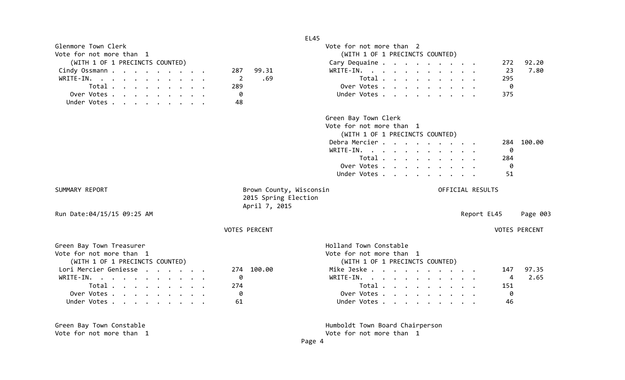| Vote for not more than 1<br>(WITH 1 OF 1 PRECINCTS COUNTED)<br>92.20<br>(WITH 1 OF 1 PRECINCTS COUNTED)<br>Cary Dequaine<br>272<br>7.80<br>99.31<br>WRITE-IN.<br>23<br>Cindy Ossmann<br>287<br>WRITE-IN.<br>.69<br>Total $\cdots$ $\cdots$ $\cdots$<br>295<br>2<br>$\cdots$<br>$\begin{tabular}{cccccccccccccc} Total & . & . & . & . & . & . & . & . & . \end{tabular}$<br>0<br>289<br>Over Votes<br>0<br>Under Votes<br>375<br>Over Votes<br>Under Votes<br>48<br>Green Bay Town Clerk<br>Vote for not more than 1<br>(WITH 1 OF 1 PRECINCTS COUNTED)<br>Debra Mercier<br>100.00<br>284<br>WRITE-IN.<br>0<br>Total<br>284<br>Over Votes<br>0<br>51<br>Under Votes<br>Brown County, Wisconsin<br>OFFICIAL RESULTS<br>2015 Spring Election<br>April 7, 2015<br>Report EL45<br>Page 003<br><b>VOTES PERCENT</b><br><b>VOTES PERCENT</b><br>Holland Town Constable<br>Green Bay Town Treasurer<br>Vote for not more than 1<br>Vote for not more than 1<br>(WITH 1 OF 1 PRECINCTS COUNTED)<br>(WITH 1 OF 1 PRECINCTS COUNTED)<br>Lori Mercier Geniesse<br>100.00<br>Mike Jeske<br>97.35<br>147<br>274<br>WRITE-IN.<br>0<br>WRITE-IN.<br>2.65<br>4<br>Total<br>274<br>Total<br>151<br>Over Votes<br>Over Votes<br>0<br>0<br>Under Votes<br>61<br>Under Votes<br>46<br>Green Bay Town Constable<br>Humboldt Town Board Chairperson | Glenmore Town Clerk         | Vote for not more than 2 |
|-------------------------------------------------------------------------------------------------------------------------------------------------------------------------------------------------------------------------------------------------------------------------------------------------------------------------------------------------------------------------------------------------------------------------------------------------------------------------------------------------------------------------------------------------------------------------------------------------------------------------------------------------------------------------------------------------------------------------------------------------------------------------------------------------------------------------------------------------------------------------------------------------------------------------------------------------------------------------------------------------------------------------------------------------------------------------------------------------------------------------------------------------------------------------------------------------------------------------------------------------------------------------------------------------------------------------------|-----------------------------|--------------------------|
|                                                                                                                                                                                                                                                                                                                                                                                                                                                                                                                                                                                                                                                                                                                                                                                                                                                                                                                                                                                                                                                                                                                                                                                                                                                                                                                               |                             |                          |
|                                                                                                                                                                                                                                                                                                                                                                                                                                                                                                                                                                                                                                                                                                                                                                                                                                                                                                                                                                                                                                                                                                                                                                                                                                                                                                                               |                             |                          |
|                                                                                                                                                                                                                                                                                                                                                                                                                                                                                                                                                                                                                                                                                                                                                                                                                                                                                                                                                                                                                                                                                                                                                                                                                                                                                                                               |                             |                          |
|                                                                                                                                                                                                                                                                                                                                                                                                                                                                                                                                                                                                                                                                                                                                                                                                                                                                                                                                                                                                                                                                                                                                                                                                                                                                                                                               |                             |                          |
|                                                                                                                                                                                                                                                                                                                                                                                                                                                                                                                                                                                                                                                                                                                                                                                                                                                                                                                                                                                                                                                                                                                                                                                                                                                                                                                               |                             |                          |
|                                                                                                                                                                                                                                                                                                                                                                                                                                                                                                                                                                                                                                                                                                                                                                                                                                                                                                                                                                                                                                                                                                                                                                                                                                                                                                                               |                             |                          |
|                                                                                                                                                                                                                                                                                                                                                                                                                                                                                                                                                                                                                                                                                                                                                                                                                                                                                                                                                                                                                                                                                                                                                                                                                                                                                                                               |                             |                          |
|                                                                                                                                                                                                                                                                                                                                                                                                                                                                                                                                                                                                                                                                                                                                                                                                                                                                                                                                                                                                                                                                                                                                                                                                                                                                                                                               |                             |                          |
|                                                                                                                                                                                                                                                                                                                                                                                                                                                                                                                                                                                                                                                                                                                                                                                                                                                                                                                                                                                                                                                                                                                                                                                                                                                                                                                               |                             |                          |
|                                                                                                                                                                                                                                                                                                                                                                                                                                                                                                                                                                                                                                                                                                                                                                                                                                                                                                                                                                                                                                                                                                                                                                                                                                                                                                                               |                             |                          |
|                                                                                                                                                                                                                                                                                                                                                                                                                                                                                                                                                                                                                                                                                                                                                                                                                                                                                                                                                                                                                                                                                                                                                                                                                                                                                                                               |                             |                          |
|                                                                                                                                                                                                                                                                                                                                                                                                                                                                                                                                                                                                                                                                                                                                                                                                                                                                                                                                                                                                                                                                                                                                                                                                                                                                                                                               |                             |                          |
|                                                                                                                                                                                                                                                                                                                                                                                                                                                                                                                                                                                                                                                                                                                                                                                                                                                                                                                                                                                                                                                                                                                                                                                                                                                                                                                               |                             |                          |
|                                                                                                                                                                                                                                                                                                                                                                                                                                                                                                                                                                                                                                                                                                                                                                                                                                                                                                                                                                                                                                                                                                                                                                                                                                                                                                                               |                             |                          |
|                                                                                                                                                                                                                                                                                                                                                                                                                                                                                                                                                                                                                                                                                                                                                                                                                                                                                                                                                                                                                                                                                                                                                                                                                                                                                                                               |                             |                          |
|                                                                                                                                                                                                                                                                                                                                                                                                                                                                                                                                                                                                                                                                                                                                                                                                                                                                                                                                                                                                                                                                                                                                                                                                                                                                                                                               |                             |                          |
|                                                                                                                                                                                                                                                                                                                                                                                                                                                                                                                                                                                                                                                                                                                                                                                                                                                                                                                                                                                                                                                                                                                                                                                                                                                                                                                               |                             |                          |
|                                                                                                                                                                                                                                                                                                                                                                                                                                                                                                                                                                                                                                                                                                                                                                                                                                                                                                                                                                                                                                                                                                                                                                                                                                                                                                                               | SUMMARY REPORT              |                          |
|                                                                                                                                                                                                                                                                                                                                                                                                                                                                                                                                                                                                                                                                                                                                                                                                                                                                                                                                                                                                                                                                                                                                                                                                                                                                                                                               |                             |                          |
|                                                                                                                                                                                                                                                                                                                                                                                                                                                                                                                                                                                                                                                                                                                                                                                                                                                                                                                                                                                                                                                                                                                                                                                                                                                                                                                               |                             |                          |
|                                                                                                                                                                                                                                                                                                                                                                                                                                                                                                                                                                                                                                                                                                                                                                                                                                                                                                                                                                                                                                                                                                                                                                                                                                                                                                                               | Run Date: 04/15/15 09:25 AM |                          |
|                                                                                                                                                                                                                                                                                                                                                                                                                                                                                                                                                                                                                                                                                                                                                                                                                                                                                                                                                                                                                                                                                                                                                                                                                                                                                                                               |                             |                          |
|                                                                                                                                                                                                                                                                                                                                                                                                                                                                                                                                                                                                                                                                                                                                                                                                                                                                                                                                                                                                                                                                                                                                                                                                                                                                                                                               |                             |                          |
|                                                                                                                                                                                                                                                                                                                                                                                                                                                                                                                                                                                                                                                                                                                                                                                                                                                                                                                                                                                                                                                                                                                                                                                                                                                                                                                               |                             |                          |
|                                                                                                                                                                                                                                                                                                                                                                                                                                                                                                                                                                                                                                                                                                                                                                                                                                                                                                                                                                                                                                                                                                                                                                                                                                                                                                                               |                             |                          |
|                                                                                                                                                                                                                                                                                                                                                                                                                                                                                                                                                                                                                                                                                                                                                                                                                                                                                                                                                                                                                                                                                                                                                                                                                                                                                                                               |                             |                          |
|                                                                                                                                                                                                                                                                                                                                                                                                                                                                                                                                                                                                                                                                                                                                                                                                                                                                                                                                                                                                                                                                                                                                                                                                                                                                                                                               |                             |                          |
|                                                                                                                                                                                                                                                                                                                                                                                                                                                                                                                                                                                                                                                                                                                                                                                                                                                                                                                                                                                                                                                                                                                                                                                                                                                                                                                               |                             |                          |
|                                                                                                                                                                                                                                                                                                                                                                                                                                                                                                                                                                                                                                                                                                                                                                                                                                                                                                                                                                                                                                                                                                                                                                                                                                                                                                                               |                             |                          |
|                                                                                                                                                                                                                                                                                                                                                                                                                                                                                                                                                                                                                                                                                                                                                                                                                                                                                                                                                                                                                                                                                                                                                                                                                                                                                                                               |                             |                          |
|                                                                                                                                                                                                                                                                                                                                                                                                                                                                                                                                                                                                                                                                                                                                                                                                                                                                                                                                                                                                                                                                                                                                                                                                                                                                                                                               |                             |                          |
|                                                                                                                                                                                                                                                                                                                                                                                                                                                                                                                                                                                                                                                                                                                                                                                                                                                                                                                                                                                                                                                                                                                                                                                                                                                                                                                               |                             |                          |
|                                                                                                                                                                                                                                                                                                                                                                                                                                                                                                                                                                                                                                                                                                                                                                                                                                                                                                                                                                                                                                                                                                                                                                                                                                                                                                                               |                             |                          |
|                                                                                                                                                                                                                                                                                                                                                                                                                                                                                                                                                                                                                                                                                                                                                                                                                                                                                                                                                                                                                                                                                                                                                                                                                                                                                                                               | Vote for not more than 1    | Vote for not more than 1 |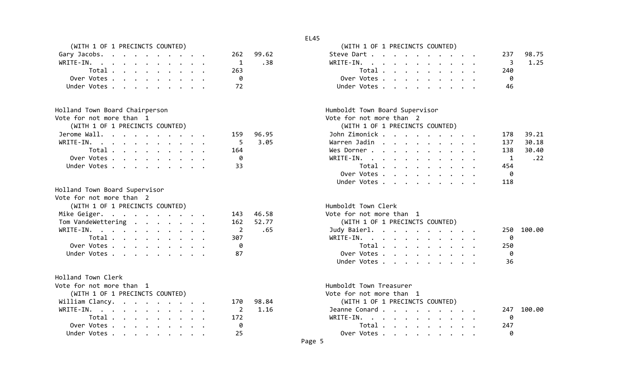| Gary Jacobs. |  |  |  |  |  |       | 262 99.62 | Steve Dart  |       |  |  |  |  | - 237 |
|--------------|--|--|--|--|--|-------|-----------|-------------|-------|--|--|--|--|-------|
| WRITE-IN.    |  |  |  |  |  |       |           | WRITE-IN.   |       |  |  |  |  |       |
| Total        |  |  |  |  |  | -263- |           |             | Total |  |  |  |  | 240   |
| Over Votes   |  |  |  |  |  |       |           | Over Votes  |       |  |  |  |  |       |
| Under Votes  |  |  |  |  |  |       |           | Under Votes |       |  |  |  |  | 46    |

| Holland Town Board Chairperson  | Humboldt Town Board Supervisor  |
|---------------------------------|---------------------------------|
| Vote for not more than 1        | Vote for not more than 2        |
| (WITH 1 OF 1 PRECINCTS COUNTED) | (WITH 1 OF 1 PRECINCTS COUNTED) |
| Jerome Wall.<br>96.95<br>159    | 178<br>John Zimonick            |
| 3.05                            | 137                             |
| WRITE-IN.                       | Warren Jadin                    |
| Total                           | 138                             |
| 164                             | Wes Dorner                      |
| Over Votes                      | $\overline{1}$                  |
| -0                              | WRITE-IN.                       |
| Under Votes                     | 454                             |
| -33-                            | Total                           |

| Holland Town Board Supervisor   |           |                                 |
|---------------------------------|-----------|---------------------------------|
| Vote for not more than 2        |           |                                 |
| (WITH 1 OF 1 PRECINCTS COUNTED) |           | Humboldt Town Clerk             |
| Mike Geiger.                    | 143 46.58 | Vote for not more than 1        |
| Tom VandeWettering              | 162 52.77 | (WITH 1 OF 1 PRECINCTS COUNTED) |
| WRITE-IN.                       | 2.65      | Judy Baierl.                    |
| Total                           | 307       | WRITE-IN.                       |
| Over Votes.                     | 0         | Total                           |
| llnder Votes                    | 87        | Over Votes                      |

Holland Town Clerk Vote for not more than 1 Humboldt Town Treasurer (WITH 1 OF 1 PRECINCTS COUNTED) William Clancy. . . . . . . . . 170 98.84 (WITH <sup>1</sup> OF <sup>1</sup> PRECINCTS COUNTED)

| (WITH 1 OF 1 PRECINCTS COUNTED) |  |  |  |  |  |     |           | (WITH 1 OF 1 PRECINCTS COUNTED) |  |  |  |  |     |          |
|---------------------------------|--|--|--|--|--|-----|-----------|---------------------------------|--|--|--|--|-----|----------|
| Gary Jacobs.                    |  |  |  |  |  |     | 262 99.62 | Steve Dart                      |  |  |  |  | 237 | 98.75    |
| WRITE-IN.                       |  |  |  |  |  |     | .38       | WRITE-IN.                       |  |  |  |  |     | 3, 1, 25 |
| Total                           |  |  |  |  |  | 263 |           | Total                           |  |  |  |  | 240 |          |
| Over Votes                      |  |  |  |  |  | 0   |           | Over Votes                      |  |  |  |  |     |          |
|                                 |  |  |  |  |  |     |           | Under Votes                     |  |  |  |  | -46 |          |
|                                 |  |  |  |  |  |     |           |                                 |  |  |  |  |     |          |

| d Town Board Chairperson      | Humboldt Town Board Supervisor              |
|-------------------------------|---------------------------------------------|
| or not more than 1            | Vote for not more than 2                    |
| ITH 1 OF 1 PRECINCTS COUNTED) | (WITH 1 OF 1 PRECINCTS COUNTED)             |
| e Wall.<br>159 96.95          | John Zimonick<br>39.21<br>178               |
| $-IN.$ 5 3.05                 | 30.18<br>Warren Jadin<br>137                |
| Total<br>164                  | 30.40<br>138<br>Wes Dorner                  |
| 0                             | $\overline{\phantom{1}}$ .22<br>WRITE-IN. 1 |
| er Votes 33                   | Total<br>454                                |
|                               | 0<br>Over Votes.                            |
|                               | 118<br>Under Votes                          |

| (WITH 1 OF 1 PRECINCTS COUNTED) |                            | Humboldt Town Clerk                   |
|---------------------------------|----------------------------|---------------------------------------|
| ke Geiger.                      |                            | Vote for not more than 1<br>143 46.58 |
|                                 | m VandeWettering 162 52.77 | (WITH 1 OF 1 PRECINCTS COUNTED)       |
|                                 | ITE-IN. 2 .65              | Judy Baierl.<br>250 100.00            |
|                                 | 307                        | WRITE-IN.<br>$\theta$                 |
|                                 | Over Votes 0               | Total<br>250                          |
| Under Votes 87                  |                            | - 0<br>Over Votes                     |
|                                 |                            | -36<br>Under Votes                    |
|                                 |                            |                                       |

| ote for not more than  1        | Humboldt Town Treasurer         |   |
|---------------------------------|---------------------------------|---|
| (WITH 1 OF 1 PRECINCTS COUNTED) | Vote for not more than 1        |   |
| William Clancy. 170 98.84       | (WITH 1 OF 1 PRECINCTS COUNTED) |   |
| WRITE-IN. 2 1.16                | Jeanne Conard 247 100.00        |   |
| Total 172                       | WRITE-IN.                       | ി |
| Over Votes 0                    | Total 247                       |   |
| Under Votes 25                  |                                 |   |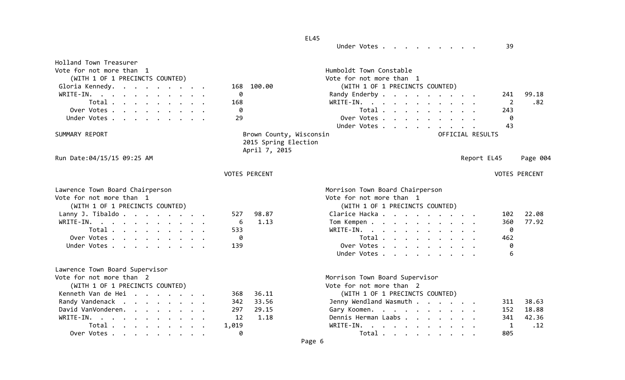Holland Town Treasurer Vote for not more than 1 Humboldt Town Constable (WITH <sup>1</sup> OF <sup>1</sup> PRECINCTS COUNTED) Vote for not more than <sup>1</sup> Gloria Kennedy. . . . . . . . . 168 100.00 (WITH <sup>1</sup> OF <sup>1</sup> PRECINCTS COUNTED) WRITE-IN. . . . . . . . . . 0 13 Randy Enderby . . . . . . . . 241 99.18 Total . . . . . . . . . . . . . . . . . . 168 WRITE‐IN. . . . . . . . . . . 2 .82 Over Votes . . . . . . . . Votes . . . . . . . . . 0 Total . . . . . . . . . 243 Under Votes......... Votes . . . . . . . . . 29 Over Votes . . . . . . . . . 0 Under Votes . . . . . . . . . 43 SUMMARY REPORT Brown County, Wisconsin **Brown County, Wisconsin** Counter of *DEFICIAL RESULTS* 2015 Spring Election April 7, 2015 Run Date:04/15/15 09:25 AM Report EL45 Page 004 **VOTES PERCENT** VOTES PERCENT Lawrence Town Board Chairperson Morrison Town Board Chairperson Vote for not more than 1 Vote for not more than 1 (WITH <sup>1</sup> OF <sup>1</sup> PRECINCTS COUNTED) (WITH <sup>1</sup> OF <sup>1</sup> PRECINCTS COUNTED) Lanny J. Tibaldo . . . . . . . . 527 98.87 Clarice Hacka . . . . . . . . . 102 22.08 WRITE-IN. . . . . . . . . . . 1.13 Tom Kempen . . . . . . . . . . 360 77.92 Total . . . . . . . . . . . . . . . . . . 533 WRITE‐IN. . . . . . . . . . . 0 Over Votes . . . . . . . . . 0 Total . . . . . . . . . 462 Under Votes . . . . . . . . . 139 Over Votes . . . . . . . . . 0 Under Votes . . . . . . . . . . . 6 Lawrence Town Board Supervisor Vote for not more than 2 Morrison Town Board Supervisor (WITH <sup>1</sup> OF <sup>1</sup> PRECINCTS COUNTED) Vote for not more than <sup>2</sup> Kenneth Van de Hei...... 368 36.11 (WITH 1 OF 1 PRECINCTS COUNTED) Randy Vandenack . . . . . . . 342 33.56 Jenny Wendland Wasmuth . . . . . 311 38.63 David VanVonderen. . . . . . . . 297 29.15 Gary Koomen. . . . . . . . . . 152 18.88 WRITE-IN. . . . . . . . . . . 12 1.18 Dennis Herman Laabs . . . . . . 341 42.36 Total . . . . . . . . . . . . . . . . . . 1,019 WRITE‐IN. . . . . . . . . . . 1 .12

Page 6

. . . . . 0 Total . . . . . . . . . 805

Over Votes . . . .

EL45

Under Votes . . . . . . . . . . . 39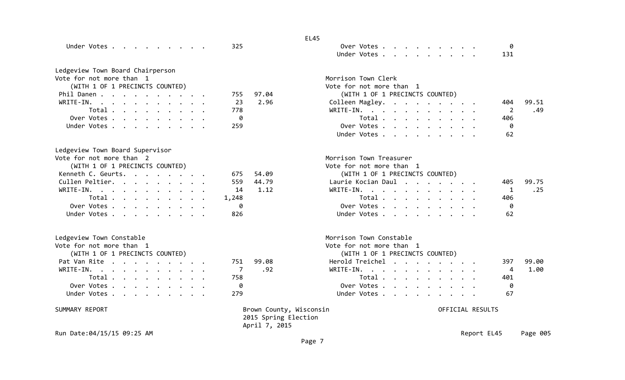|                                  |       | <b>EL45</b>                                                      |                                                                    |              |
|----------------------------------|-------|------------------------------------------------------------------|--------------------------------------------------------------------|--------------|
| Under Votes                      | 325   |                                                                  | Over Votes<br>Under Votes                                          | 0<br>131     |
| Ledgeview Town Board Chairperson |       |                                                                  |                                                                    |              |
| Vote for not more than 1         |       |                                                                  | Morrison Town Clerk                                                |              |
| (WITH 1 OF 1 PRECINCTS COUNTED)  |       |                                                                  | Vote for not more than 1                                           |              |
| Phil Danen                       | 755   | 97.04                                                            | (WITH 1 OF 1 PRECINCTS COUNTED)                                    |              |
| WRITE-IN.                        | 23    | 2.96                                                             | Colleen Magley.                                                    | 99.51<br>404 |
| Total                            | 778   |                                                                  | WRITE-IN.                                                          | .49<br>2     |
| Over Votes                       | 0     |                                                                  | Total                                                              | 406          |
| Under Votes                      | 259   |                                                                  | Over Votes                                                         | ø            |
|                                  |       |                                                                  | Under Votes                                                        | 62           |
| Ledgeview Town Board Supervisor  |       |                                                                  |                                                                    |              |
| Vote for not more than 2         |       |                                                                  | Morrison Town Treasurer                                            |              |
| (WITH 1 OF 1 PRECINCTS COUNTED)  |       |                                                                  | Vote for not more than 1                                           |              |
| Kenneth C. Geurts.               | 675   | 54.09                                                            | (WITH 1 OF 1 PRECINCTS COUNTED)                                    |              |
| Cullen Peltier.                  | 559   | 44.79                                                            | Laurie Kocian Daul                                                 | 99.75<br>405 |
| WRITE-IN.                        | 14    | 1.12                                                             | WRITE-IN.                                                          | .25<br>1     |
| Total                            | 1,248 |                                                                  | Total                                                              | 406          |
| Over Votes                       | 0     |                                                                  | Over Votes                                                         | 0            |
| Under Votes                      | 826   |                                                                  | Under Votes                                                        | 62           |
| Ledgeview Town Constable         |       |                                                                  | Morrison Town Constable                                            |              |
| Vote for not more than 1         |       |                                                                  | Vote for not more than 1                                           |              |
| (WITH 1 OF 1 PRECINCTS COUNTED)  |       |                                                                  | (WITH 1 OF 1 PRECINCTS COUNTED)                                    |              |
| Pat Van Rite                     | 751   | 99.08                                                            | Herold Treichel                                                    | 397<br>99.00 |
| WRITE-IN.                        | 7     | .92                                                              | WRITE-IN.                                                          | 1.00<br>4    |
| Total                            | 758   |                                                                  | Total .<br>$\cdot$ $\cdot$ $\cdot$ $\cdot$ $\cdot$ $\cdot$ $\cdot$ | 401          |
| Over Votes                       | 0     |                                                                  | Over Votes                                                         | 0            |
| Under Votes                      | 279   |                                                                  | Under Votes                                                        | 67           |
| SUMMARY REPORT                   |       | Brown County, Wisconsin<br>2015 Spring Election<br>April 7, 2015 | OFFICIAL RESULTS                                                   |              |

Run Date:04/15/15 09:25 AM Report EL45 Page 005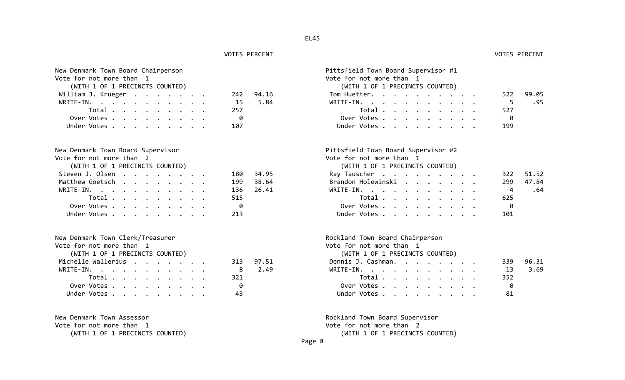# **VOTES PERCENT**

## VOTES PERCENT

| New Denmark Town Board Chairperson<br>Vote for not more than 1<br>(WITH 1 OF 1 PRECINCTS COUNTED)<br>William J. Krueger<br>WRITE-IN.<br>Total<br>Over Votes | 242<br>15<br>257<br>0 | 94.16<br>5.84 | Pittsfield Town Board Supervisor #1<br>Vote for not more than 1<br>(WITH 1 OF 1 PRECINCTS COUNTED)<br>Tom Huetter.<br>WRITE-IN.<br>Total<br>Over Votes | 522<br>-5<br>527<br>0 | 99.05<br>.95 |
|-------------------------------------------------------------------------------------------------------------------------------------------------------------|-----------------------|---------------|--------------------------------------------------------------------------------------------------------------------------------------------------------|-----------------------|--------------|
| Under Votes                                                                                                                                                 | 107                   |               | Under Votes                                                                                                                                            | 199                   |              |
| New Denmark Town Board Supervisor<br>Vote for not more than 2<br>(WITH 1 OF 1 PRECINCTS COUNTED)                                                            |                       |               | Pittsfield Town Board Supervisor #2<br>Vote for not more than 1<br>(WITH 1 OF 1 PRECINCTS COUNTED)                                                     |                       |              |
| Steven J. Olsen                                                                                                                                             | 180                   | 34.95         | Ray Tauscher                                                                                                                                           | 322                   | 51.52        |
| Matthew Goetsch                                                                                                                                             | 199                   | 38.64         | Brandon Holewinski                                                                                                                                     | 299                   | 47.84        |
| WRITE-IN.                                                                                                                                                   | 136                   | 26.41         | WRITE-IN.                                                                                                                                              | 4                     | .64          |
| Total                                                                                                                                                       | 515                   |               | Total                                                                                                                                                  | 625                   |              |
| Over Votes                                                                                                                                                  | -0                    |               | Over Votes.                                                                                                                                            | 0                     |              |
| Under Votes                                                                                                                                                 | 213                   |               | Under Votes                                                                                                                                            | 101                   |              |
| New Denmark Town Clerk/Treasurer                                                                                                                            |                       |               | Rockland Town Board Chairperson                                                                                                                        |                       |              |
| Vote for not more than 1                                                                                                                                    |                       |               | Vote for not more than 1                                                                                                                               |                       |              |
| (WITH 1 OF 1 PRECINCTS COUNTED)                                                                                                                             |                       |               | (WITH 1 OF 1 PRECINCTS COUNTED)                                                                                                                        |                       |              |
| Michelle Wallerius                                                                                                                                          | 313.                  | 97.51         | Dennis J. Cashman.                                                                                                                                     | 339                   | 96.31        |
| WRITE-IN.                                                                                                                                                   |                       | 2.49          | WRITE-IN.                                                                                                                                              | 13                    | 3.69         |
| Total                                                                                                                                                       | 321                   |               | Total                                                                                                                                                  | 352                   |              |
| Over Votes                                                                                                                                                  | 0                     |               | Over Votes                                                                                                                                             | 0                     |              |
| Under Votes                                                                                                                                                 | 43                    |               | Under Votes                                                                                                                                            | 81                    |              |
|                                                                                                                                                             |                       |               |                                                                                                                                                        |                       |              |

Rockland Town Board Supervisor Vote for not more than 2 (WITH <sup>1</sup> OF <sup>1</sup> PRECINCTS COUNTED) (WITH <sup>1</sup> OF <sup>1</sup> PRECINCTS COUNTED)

New Denmark Town Assessor

Vote for not more than 1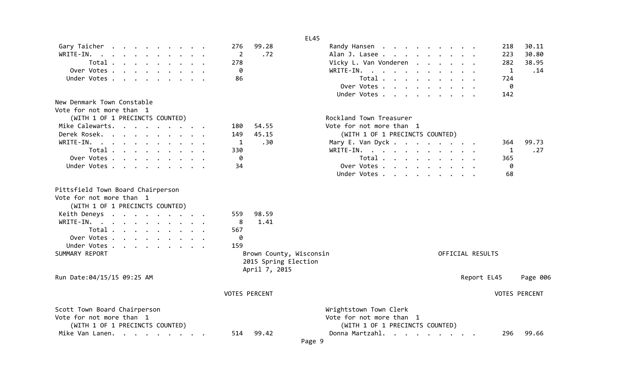|                                                                                                                                                                                       |                             |                                                        | EL45                                                                                                     |                  |     |                      |
|---------------------------------------------------------------------------------------------------------------------------------------------------------------------------------------|-----------------------------|--------------------------------------------------------|----------------------------------------------------------------------------------------------------------|------------------|-----|----------------------|
| Gary Taicher                                                                                                                                                                          | 276                         | 99.28                                                  | Randy Hansen                                                                                             |                  | 218 | 30.11                |
| WRITE-IN.<br>$\cdot$                                                                                                                                                                  | 2                           | .72                                                    | Alan J. Lasee                                                                                            |                  | 223 | 30.80                |
| Total                                                                                                                                                                                 | 278                         |                                                        | Vicky L. Van Vonderen.                                                                                   |                  | 282 | 38.95                |
| Over Votes                                                                                                                                                                            | ø                           |                                                        | $WRITE-IN.$                                                                                              |                  | 1   | .14                  |
| Under Votes                                                                                                                                                                           | 86                          |                                                        | Total                                                                                                    |                  | 724 |                      |
|                                                                                                                                                                                       |                             |                                                        | Over Votes                                                                                               |                  | 0   |                      |
|                                                                                                                                                                                       |                             |                                                        | Under Votes                                                                                              |                  | 142 |                      |
| New Denmark Town Constable                                                                                                                                                            |                             |                                                        |                                                                                                          |                  |     |                      |
| Vote for not more than 1                                                                                                                                                              |                             |                                                        |                                                                                                          |                  |     |                      |
| (WITH 1 OF 1 PRECINCTS COUNTED)                                                                                                                                                       |                             |                                                        | Rockland Town Treasurer                                                                                  |                  |     |                      |
| Mike Calewarts.                                                                                                                                                                       | 180                         | 54.55                                                  | Vote for not more than 1                                                                                 |                  |     |                      |
| Derek Rosek.                                                                                                                                                                          | 149                         | 45.15                                                  | (WITH 1 OF 1 PRECINCTS COUNTED)                                                                          |                  |     |                      |
| WRITE-IN.                                                                                                                                                                             | $\mathbf{1}$                | .30                                                    | Mary E. Van Dyck                                                                                         |                  | 364 | 99.73                |
| Total                                                                                                                                                                                 | 330                         |                                                        | WRITE-IN.                                                                                                |                  | 1   | .27                  |
| Over Votes                                                                                                                                                                            | 0                           |                                                        | Total                                                                                                    |                  | 365 |                      |
| Under Votes                                                                                                                                                                           | 34                          |                                                        | Over Votes                                                                                               |                  | 0   |                      |
|                                                                                                                                                                                       |                             |                                                        | Under Votes                                                                                              |                  | 68  |                      |
| Pittsfield Town Board Chairperson<br>Vote for not more than 1<br>(WITH 1 OF 1 PRECINCTS COUNTED)<br>Keith Deneys<br>WRITE-IN.<br>Total<br>Over Votes<br>Under Votes<br>SUMMARY REPORT | 559<br>8<br>567<br>0<br>159 | 98.59<br>1.41<br>2015 Spring Election<br>April 7, 2015 | Brown County, Wisconsin                                                                                  | OFFICIAL RESULTS |     |                      |
| Run Date: 04/15/15 09:25 AM                                                                                                                                                           |                             |                                                        |                                                                                                          | Report EL45      |     | Page 006             |
|                                                                                                                                                                                       |                             |                                                        |                                                                                                          |                  |     |                      |
|                                                                                                                                                                                       |                             | <b>VOTES PERCENT</b>                                   |                                                                                                          |                  |     | <b>VOTES PERCENT</b> |
| Scott Town Board Chairperson<br>Vote for not more than 1<br>(WITH 1 OF 1 PRECINCTS COUNTED)<br>Mike Van Lanen.<br>$\ddot{\phantom{1}}$                                                | 514                         | 99.42                                                  | Wrightstown Town Clerk<br>Vote for not more than 1<br>(WITH 1 OF 1 PRECINCTS COUNTED)<br>Donna Martzahl. |                  | 296 | 99.66                |
|                                                                                                                                                                                       |                             |                                                        | Page 9                                                                                                   |                  |     |                      |
|                                                                                                                                                                                       |                             |                                                        |                                                                                                          |                  |     |                      |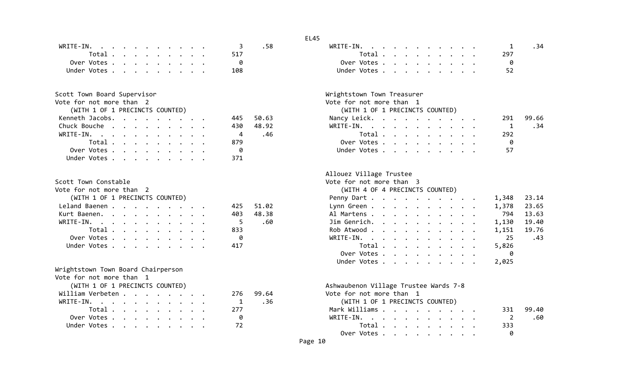|                                    |              | <b>EL45</b>                           |             |
|------------------------------------|--------------|---------------------------------------|-------------|
| WRITE-IN.                          | .58<br>3     | WRITE-IN.                             | $\mathbf 1$ |
| Total                              | 517          | Total                                 | 297         |
| Over Votes                         | ø            | Over Votes                            |             |
| Under Votes                        | 108          | Under Votes                           | 52          |
|                                    |              |                                       |             |
| Scott Town Board Supervisor        |              | Wrightstown Town Treasurer            |             |
| Vote for not more than 2           |              | Vote for not more than 1              |             |
| (WITH 1 OF 1 PRECINCTS COUNTED)    |              | (WITH 1 OF 1 PRECINCTS COUNTED)       |             |
| Kenneth Jacobs.                    | 445<br>50.63 | Nancy Leick.                          | 291         |
| Chuck Bouche                       | 48.92<br>430 | WRITE-IN.                             | 1           |
| WRITE-IN.                          | .46<br>4     | Total                                 | 292         |
| Total                              | 879          | Over Votes                            | 0           |
| Over Votes                         | 0            | Under Votes                           | 57          |
| Under Votes                        | 371          |                                       |             |
|                                    |              | Allouez Village Trustee               |             |
| Scott Town Constable               |              | Vote for not more than 3              |             |
| Vote for not more than 2           |              | (WITH 4 OF 4 PRECINCTS COUNTED)       |             |
| (WITH 1 OF 1 PRECINCTS COUNTED)    |              | 1,348<br>Penny Dart                   |             |
| Leland Baenen                      | 51.02<br>425 | 1,378<br>Lynn Green                   |             |
| Kurt Baenen.                       | 48.38<br>403 | Al Martens                            | 794         |
| WRITE-IN.                          | 5<br>.60     | Jim Genrich.<br>1,130                 |             |
| Total                              | 833          | Rob Atwood<br>1,151                   |             |
| Over Votes                         | 0            | WRITE-IN.                             | 25          |
| Under Votes                        | 417          | 5,826<br>Total                        |             |
|                                    |              | Over Votes                            | 0           |
|                                    |              | 2,025<br>Under Votes                  |             |
| Wrightstown Town Board Chairperson |              |                                       |             |
| Vote for not more than 1           |              |                                       |             |
| (WITH 1 OF 1 PRECINCTS COUNTED)    |              | Ashwaubenon Village Trustee Wards 7-8 |             |
| William Verbeten                   | 99.64<br>276 | Vote for not more than 1              |             |
| WRITE-IN.                          | .36<br>1     | (WITH 1 OF 1 PRECINCTS COUNTED)       |             |
| Total                              | 277          | Mark Williams                         | 331         |
| Over Votes                         | 0            | WRITE-IN.                             |             |
|                                    | 72           |                                       |             |
| Under Votes                        |              | Total                                 | 333         |

|       |  |  |  |  | $\frac{1}{2}$ , $\frac{1}{2}$ , $\frac{1}{2}$ , $\frac{1}{2}$ , $\frac{1}{2}$ , $\frac{1}{2}$ , $\frac{1}{2}$ , $\frac{1}{2}$ , $\frac{1}{2}$ , $\frac{1}{2}$ , $\frac{1}{2}$ | 3.58 | WRITE-IN. 1  |  |
|-------|--|--|--|--|-------------------------------------------------------------------------------------------------------------------------------------------------------------------------------|------|--------------|--|
|       |  |  |  |  | Total 517                                                                                                                                                                     |      | 297<br>Total |  |
| Votes |  |  |  |  |                                                                                                                                                                               |      | Over Votes   |  |
|       |  |  |  |  | Votes. 108                                                                                                                                                                    |      | Under Votes  |  |
|       |  |  |  |  |                                                                                                                                                                               |      |              |  |

| Town Board Supervisor          | Wrightstown Town Treasurer      |
|--------------------------------|---------------------------------|
| for not more than 2            | Vote for not more than 1        |
| WITH 1 OF 1 PRECINCTS COUNTED) | (WITH 1 OF 1 PRECINCTS COUNTED) |
| eth Jacobs. 445 50.63          | Nancy Leick. 291<br>99.66       |
| 430 48.92                      | . 34<br>WRITE-IN. 1             |
| E-IN. 4 .46                    | Total<br>292                    |
| Total 879                      | - 0<br>Over Votes               |
| ver Votes<br>0                 | 57<br>Under Votes               |

|                                 |  |  |  |  |  |  |  |                |       | Allouez Village Trustee         |     |  |  |  |  |  |
|---------------------------------|--|--|--|--|--|--|--|----------------|-------|---------------------------------|-----|--|--|--|--|--|
| t Town Constable                |  |  |  |  |  |  |  |                |       | Vote for not more than 3        |     |  |  |  |  |  |
| for not more than 2             |  |  |  |  |  |  |  |                |       | (WITH 4 OF 4 PRECINCTS COUNTED) |     |  |  |  |  |  |
| (WITH 1 OF 1 PRECINCTS COUNTED) |  |  |  |  |  |  |  |                |       | 23.14<br>Penny Dart.<br>1,348   |     |  |  |  |  |  |
| and Baenen                      |  |  |  |  |  |  |  | 425            | 51.02 | 23.65<br>Lynn Green<br>1,378    |     |  |  |  |  |  |
| t Baenen.                       |  |  |  |  |  |  |  | 403            | 48.38 | 13.63<br>Al Martens<br>794      |     |  |  |  |  |  |
| TE-IN.                          |  |  |  |  |  |  |  | 5 <sup>2</sup> | .60   | 19.40<br>Jim Genrich.<br>1,130  |     |  |  |  |  |  |
| Total                           |  |  |  |  |  |  |  | 833            |       | 19.76<br>Rob Atwood<br>1,151    |     |  |  |  |  |  |
| Over Votes                      |  |  |  |  |  |  |  | $\theta$       |       | 25<br>WRITE-IN.                 | .43 |  |  |  |  |  |
| nder Votes                      |  |  |  |  |  |  |  | 417            |       | Total<br>5,826                  |     |  |  |  |  |  |
|                                 |  |  |  |  |  |  |  |                |       | -0<br>Over Votes                |     |  |  |  |  |  |
|                                 |  |  |  |  |  |  |  |                |       | Under Votes<br>2,025            |     |  |  |  |  |  |
|                                 |  |  |  |  |  |  |  |                |       |                                 |     |  |  |  |  |  |

| TH 1 OF 1 PRECINCTS COUNTED) |       | Ashwaubenon Village Trustee Wards 7-8 |       |
|------------------------------|-------|---------------------------------------|-------|
| m Verbeten<br>276            | 99.64 | Vote for not more than 1              |       |
| IN. 1                        | .36   | (WITH 1 OF 1 PRECINCTS COUNTED)       |       |
| Total 277                    |       | Mark Williams<br>331                  | 99.40 |
| r Votes<br>0                 |       | WRITE-IN.                             | .60   |
| r Votes 72                   |       | - 333<br>Total                        |       |
|                              |       | Over Votes                            |       |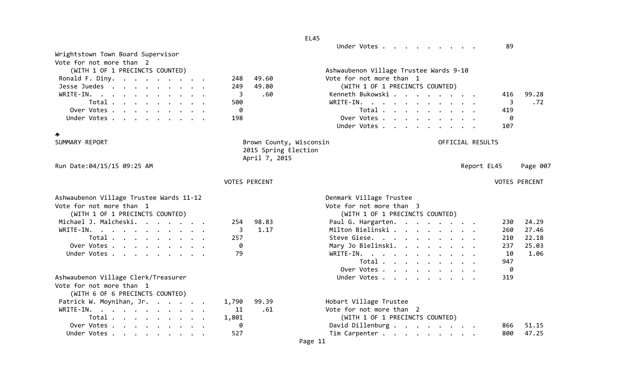|                                                               |                                                                  | Under Votes                                                 | 89                   |
|---------------------------------------------------------------|------------------------------------------------------------------|-------------------------------------------------------------|----------------------|
| Wrightstown Town Board Supervisor<br>Vote for not more than 2 |                                                                  |                                                             |                      |
| (WITH 1 OF 1 PRECINCTS COUNTED)                               |                                                                  | Ashwaubenon Village Trustee Wards 9-10                      |                      |
| Ronald F. Diny.                                               | 49.60<br>248                                                     | Vote for not more than 1                                    |                      |
| Jesse Juedes                                                  | 49.80<br>249                                                     | (WITH 1 OF 1 PRECINCTS COUNTED)                             |                      |
| WRITE-IN.<br>$\cdots$                                         | .60<br>3                                                         | Kenneth Bukowski.                                           | 99.28<br>416         |
| Total                                                         | 500                                                              | WRITE-IN.                                                   | .72<br>3             |
| Over Votes                                                    | 0                                                                | Total                                                       | 419                  |
| Under Votes                                                   | 198                                                              | Over Votes                                                  | 0                    |
|                                                               |                                                                  | Under Votes                                                 | 107                  |
| ♠                                                             |                                                                  |                                                             |                      |
| SUMMARY REPORT                                                | Brown County, Wisconsin<br>2015 Spring Election<br>April 7, 2015 | OFFICIAL RESULTS                                            |                      |
| Run Date: 04/15/15 09:25 AM                                   |                                                                  | Report EL45                                                 | Page 007             |
|                                                               | <b>VOTES PERCENT</b>                                             |                                                             | <b>VOTES PERCENT</b> |
| Ashwaubenon Village Trustee Wards 11-12                       |                                                                  | Denmark Village Trustee                                     |                      |
| Vote for not more than 1<br>(WITH 1 OF 1 PRECINCTS COUNTED)   |                                                                  | Vote for not more than 3<br>(WITH 1 OF 1 PRECINCTS COUNTED) |                      |
| Michael J. Malcheski.                                         | 254<br>98.83                                                     | Paul G. Hargarten.                                          | 24.29<br>230         |
| WRITE-IN.                                                     | 1.17<br>3                                                        | Milton Bielinski                                            | 27.46<br>260         |
| Total                                                         | 257                                                              | Steve Giese.                                                | 210<br>22.18         |
| Over Votes.                                                   | ø                                                                | Mary Jo Bielinski.                                          | 25.03<br>237         |
| Under Votes                                                   | 79                                                               | WRITE-IN.                                                   | 1.06<br>10           |
|                                                               |                                                                  | Total                                                       | 947                  |
|                                                               |                                                                  | Over Votes                                                  | 0                    |
| Ashwaubenon Village Clerk/Treasurer                           |                                                                  | Under Votes                                                 | 319                  |
| Vote for not more than 1                                      |                                                                  |                                                             |                      |
| (WITH 6 OF 6 PRECINCTS COUNTED)                               |                                                                  |                                                             |                      |
| Patrick W. Moynihan, Jr.                                      | 99.39<br>1,790                                                   | Hobart Village Trustee                                      |                      |
| WRITE-IN.                                                     | 11<br>.61                                                        | Vote for not more than 2                                    |                      |
| Total                                                         | 1,801                                                            | (WITH 1 OF 1 PRECINCTS COUNTED)                             |                      |
| Over Votes                                                    | 0                                                                | David Dillenburg                                            | 51.15<br>866         |
| Under Votes                                                   | 527                                                              | Tim Carpenter                                               | 47.25<br>800         |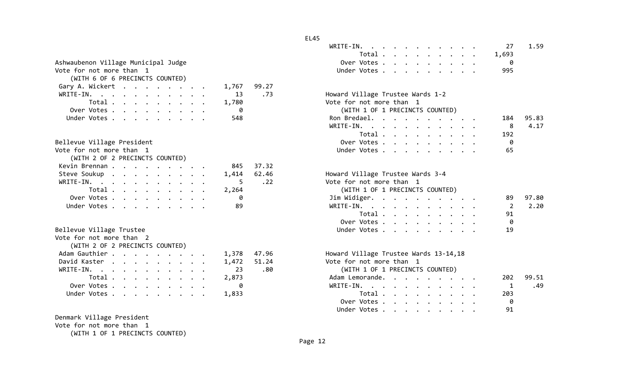| Ashwaubenon Village Municipal Judge |       | Over Votes                            | 0   |
|-------------------------------------|-------|---------------------------------------|-----|
| Vote for not more than 1            |       | Under Votes                           | 995 |
| (WITH 6 OF 6 PRECINCTS COUNTED)     |       |                                       |     |
| Gary A. Wickert<br>1,767            | 99.27 |                                       |     |
| WRITE-IN.<br>13                     | .73   | Howard Village Trustee Wards 1-2      |     |
| Total<br>1,780                      |       | Vote for not more than 1              |     |
| Over Votes<br>ø                     |       | (WITH 1 OF 1 PRECINCTS COUNTED)       |     |
| Under Votes<br>548                  |       | Ron Bredael.                          | 184 |
|                                     |       | WRITE-IN.                             | 8   |
|                                     |       | Total                                 | 192 |
| Bellevue Village President          |       | Over Votes                            | 0   |
| Vote for not more than 1            |       | Under Votes                           | 65  |
| (WITH 2 OF 2 PRECINCTS COUNTED)     |       |                                       |     |
| Kevin Brennan<br>845                | 37.32 |                                       |     |
| Steve Soukup<br>1,414               | 62.46 | Howard Village Trustee Wards 3-4      |     |
| WRITE-IN.<br>5                      | .22   | Vote for not more than 1              |     |
| Total<br>2,264                      |       | (WITH 1 OF 1 PRECINCTS COUNTED)       |     |
| Over Votes<br>0                     |       | Jim Widiger.                          | 89  |
| Under Votes<br>89                   |       | WRITE-IN.                             |     |
|                                     |       | Total                                 | 91  |
|                                     |       | Over Votes                            |     |
| Bellevue Village Trustee            |       | Under Votes                           | 19  |
| Vote for not more than 2            |       |                                       |     |
| (WITH 2 OF 2 PRECINCTS COUNTED)     |       |                                       |     |
| Adam Gauthier<br>1,378              | 47.96 | Howard Village Trustee Wards 13-14,18 |     |
| David Kaster<br>1,472               | 51.24 | Vote for not more than 1              |     |
| WRITE-IN.<br>23                     | .80   | (WITH 1 OF 1 PRECINCTS COUNTED)       |     |
| Total<br>2,873                      |       | Adam Lemorande.                       | 202 |
| Over Votes<br>0                     |       | WRITE-IN.                             |     |
| 1,833<br>Under Votes                |       | Total                                 | 203 |

#### Denmark Village President

Vote for not more than 1

(WITH <sup>1</sup> OF <sup>1</sup> PRECINCTS COUNTED)

|                              | WRITE-IN.                                 | 27<br>1.59  |
|------------------------------|-------------------------------------------|-------------|
|                              | Total<br>1,693                            |             |
| enon Village Municipal Judge | Over Votes                                | -0          |
| r not more than  1           | 995<br>Under Votes                        |             |
| TH 6 OF 6 PRECINCTS COUNTED) |                                           |             |
| . Wickert<br>99.27<br>1,767  |                                           |             |
| IN.<br>13<br>.73             | Howard Village Trustee Wards 1-2          |             |
| Total<br>1,780               | Vote for not more than 1                  |             |
| r Votes<br>0                 | (WITH 1 OF 1 PRECINCTS COUNTED)           |             |
| r Votes<br>548               | Ron Bredael.<br>184                       | 95.83       |
|                              | WRITE-IN.                                 | 4.17<br>-8  |
|                              | 192<br>Total                              |             |
| e Village President          | Over Votes                                | 0           |
| r not more than 1            | Under Votes                               | 65          |
| TH 2 OF 2 PRECINCTS COUNTED) |                                           |             |
| 37.32<br>Brennan<br>845      |                                           |             |
| 62.46<br>Soukup<br>1,414     | Howard Village Trustee Wards 3-4          |             |
| .22<br>IN.                   | Vote for not more than 1                  |             |
| Total<br>2,264               | (WITH 1 OF 1 PRECINCTS COUNTED)           |             |
| 0<br>r Votes                 | Jim Widiger.                              | 97.80<br>89 |
| 89<br>r Votes                | WRITE-IN.                                 | 2.20        |
|                              | Total $\cdots$ $\cdots$ $\cdots$ $\cdots$ | 91          |

| v |  |
|---|--|
|---|--|

|  |  |  |  |  | authier 1,378 47.96 |     | Howard Village Trustee Wards 13-14,18 |
|--|--|--|--|--|---------------------|-----|---------------------------------------|
|  |  |  |  |  | Kaster 1,472 51.24  |     | Vote for not more than 1              |
|  |  |  |  |  | IN. 23              | .80 | (WITH 1 OF 1 PRECINCTS COUNTED)       |
|  |  |  |  |  | Total 2,873         |     | 99.51<br>Adam Lemorande.<br>202       |
|  |  |  |  |  | r Votes 0           |     | .49<br>WRITE-IN. 1                    |
|  |  |  |  |  | r Votes 1,833       |     | Total<br>203                          |
|  |  |  |  |  |                     |     | - 0<br>Over Votes                     |
|  |  |  |  |  |                     |     | Under Votes 91                        |
|  |  |  |  |  |                     |     |                                       |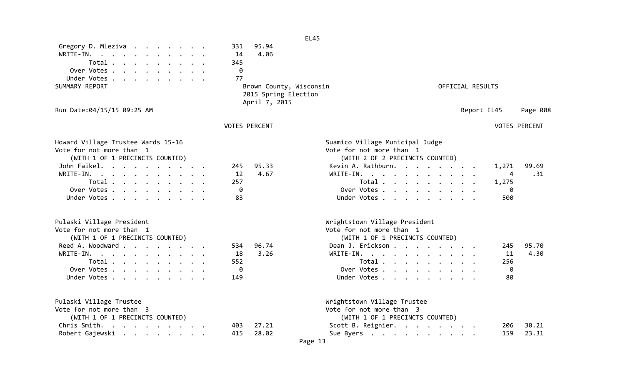|                                                                                                                                                                                                                                                                                                                                                                                                                                                            |                              |                                                                                   | <b>EL45</b>                                                                                |                                                                                                          |                                 |                |
|------------------------------------------------------------------------------------------------------------------------------------------------------------------------------------------------------------------------------------------------------------------------------------------------------------------------------------------------------------------------------------------------------------------------------------------------------------|------------------------------|-----------------------------------------------------------------------------------|--------------------------------------------------------------------------------------------|----------------------------------------------------------------------------------------------------------|---------------------------------|----------------|
| Gregory D. Mleziva<br>$WRITE-IN.$<br>Total<br>Over Votes<br>Under Votes<br>SUMMARY REPORT                                                                                                                                                                                                                                                                                                                                                                  | 331<br>14<br>345<br>0<br>77  | 95.94<br>4.06<br>Brown County, Wisconsin<br>2015 Spring Election<br>April 7, 2015 |                                                                                            | OFFICIAL RESULTS                                                                                         |                                 |                |
| Run Date: 04/15/15 09:25 AM                                                                                                                                                                                                                                                                                                                                                                                                                                |                              |                                                                                   |                                                                                            | Report EL45                                                                                              |                                 | Page 008       |
|                                                                                                                                                                                                                                                                                                                                                                                                                                                            |                              | <b>VOTES PERCENT</b>                                                              |                                                                                            |                                                                                                          | <b>VOTES PERCENT</b>            |                |
| Howard Village Trustee Wards 15-16<br>Vote for not more than 1<br>(WITH 1 OF 1 PRECINCTS COUNTED)<br>John Faikel.<br>WRITE-IN.<br>Total<br>Over Votes<br>Under Votes                                                                                                                                                                                                                                                                                       | 245<br>12<br>257<br>0<br>83  | 95.33<br>4.67                                                                     | Suamico Village Municipal Judge<br>Vote for not more than 1                                | (WITH 2 OF 2 PRECINCTS COUNTED)<br>Kevin A. Rathburn.<br>WRITE-IN.<br>Total<br>Over Votes<br>Under Votes | 1,271<br>4<br>1,275<br>0<br>500 | 99.69<br>. 31  |
| Pulaski Village President<br>Vote for not more than 1<br>(WITH 1 OF 1 PRECINCTS COUNTED)<br>Reed A. Woodward<br>WRITE-IN.<br>Total<br>Over Votes<br>Under Votes                                                                                                                                                                                                                                                                                            | 534<br>18<br>552<br>0<br>149 | 96.74<br>3.26                                                                     | Wrightstown Village President<br>Vote for not more than 1<br>Dean J. Erickson<br>WRITE-IN. | (WITH 1 OF 1 PRECINCTS COUNTED)<br>Total<br>Over Votes<br>Under Votes                                    | 245<br>11<br>256<br>0<br>80     | 95.70<br>4.30  |
| Pulaski Village Trustee<br>Vote for not more than 3<br>(WITH 1 OF 1 PRECINCTS COUNTED)<br>Chris Smith.<br>$\mathbf{r}$ , and $\mathbf{r}$ , and $\mathbf{r}$ , and $\mathbf{r}$ , and $\mathbf{r}$<br>Robert Gajewski<br>$\mathbf{a}$ , and a set of the set of the set of the set of the set of the set of the set of the set of the set of the set of the set of the set of the set of the set of the set of the set of the set of the set of the set of | 403<br>415                   | 27.21<br>28.02                                                                    | Wrightstown Village Trustee<br>Vote for not more than 3<br>Page 13                         | (WITH 1 OF 1 PRECINCTS COUNTED)<br>Scott B. Reignier.<br>Sue Byers                                       | 206<br>159                      | 30.21<br>23.31 |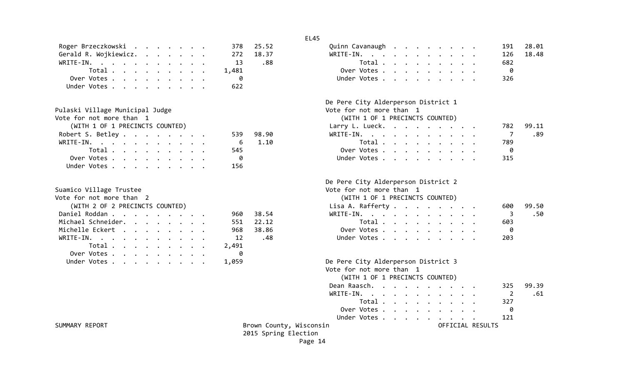| Roger Brzeczkowski    |  |  |  |  |  | 378         | .25. |
|-----------------------|--|--|--|--|--|-------------|------|
| Gerald R. Wojkiewicz. |  |  |  |  |  | 272         | 18.  |
| WRITE-IN.             |  |  |  |  |  | 13          |      |
|                       |  |  |  |  |  | Total 1,481 |      |
| Over Votes            |  |  |  |  |  |             |      |
| Under Votes           |  |  |  |  |  | 622         |      |

| Pulaski Village Municipal Judge |       |  |  |  |  |       |      |
|---------------------------------|-------|--|--|--|--|-------|------|
| Vote for not more than 1        |       |  |  |  |  |       |      |
| (WITH 1 OF 1 PRECINCTS COUNTED) |       |  |  |  |  |       |      |
| Robert S. Betley                |       |  |  |  |  | 539   | 98.9 |
| WRITE-IN.                       |       |  |  |  |  | 6 1.1 |      |
|                                 | Total |  |  |  |  | 545   |      |
| Over Votes                      |       |  |  |  |  | - 0   |      |
| Under Votes                     |       |  |  |  |  | 156   |      |

| Suamico Village Trustee                            | Vote for not more than 1                |
|----------------------------------------------------|-----------------------------------------|
| Vote for not more than 2                           | (WITH 1 OF 1 PRECINCTS COUNTED)         |
| (WITH 2 OF 2 PRECINCTS COUNTED)                    | 600<br>Lisa A. Rafferty                 |
| Daniel Roddan<br>960 38.54                         | $\overline{\phantom{a}}$ 3<br>WRITE-IN. |
| Michael Schneider.<br>551 22.12                    | 603<br>Total                            |
| Michelle Eckert<br>968 38.86                       | - 0<br>Over Votes                       |
| WRITE-IN. 12 .48                                   | 203<br>Under Votes                      |
| Total $\ldots$ $\ldots$ $\ldots$ $\ldots$<br>2,491 |                                         |
| 0<br>Over Votes                                    |                                         |
| Under Votes<br>1,059                               | De Pere City Alderperson District 3     |

| 126 18.48 |
|-----------|
| 682       |
|           |
| 326       |
|           |

# De Pere City Alderperson District 1 Vote for not more than 1 (WITH 1 OF 1 PRECINCTS COUNTED) Larry L. Lueck. . . . . . . . . . 782 99.11 S. Betley . . . . . . . . 539 98.90 WRITE‐IN. . . . . . . . . . . 7 .89 . . . . . . . . . . 6 1.10 Total . . . . . . . . . 789 0 ver Votes . . . . . . . . . . . 0 Under Votes . . . . . . . . . . 315

# De Pere City Alderperson District 2 Vote for not more than  $1$ <br> $(1.1711.4.95.4.72557)(2.0011755)$

| for not more than 2             | (WITH I OF I PRECINCTS COUNTED)              |
|---------------------------------|----------------------------------------------|
| (WITH 2 OF 2 PRECINCTS COUNTED) | Lisa A. Rafferty<br>99.50<br>600             |
| iel Roddan<br>960 38.54         | - 50<br>WRITE-IN.<br>$\overline{\mathbf{3}}$ |
| hael Schneider.<br>551 22.12    | 603<br>Total                                 |
| helle Eckert<br>968 38.86       | Over Votes                                   |
| TE-IN.<br>12.48                 | 203<br>Under Votes                           |

SUMMARY REPORT

Brown County, Wisconsin **Brown County, Wisconsin** OFFICIAL RESULTS 2015 Spring Election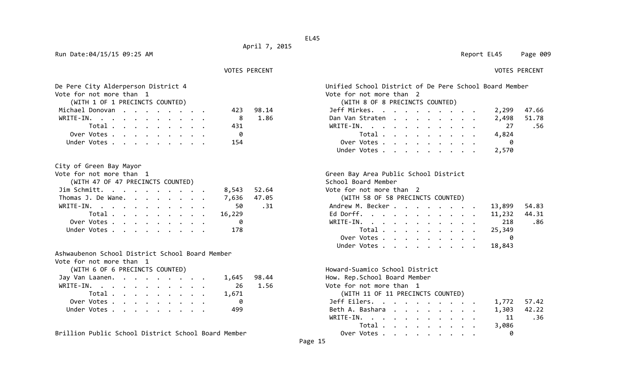**VOTES PERCENT** 

### VOTES PERCENT

| De Pere City Alderperson District 4 |              | Unified School District of De Pere School Board Member                                    |  |  |  |  |  |  |  |  |
|-------------------------------------|--------------|-------------------------------------------------------------------------------------------|--|--|--|--|--|--|--|--|
| Vote for not more than 1            |              | Vote for not more than 2                                                                  |  |  |  |  |  |  |  |  |
| (WITH 1 OF 1 PRECINCTS COUNTED)     |              | (WITH 8 OF 8 PRECINCTS COUNTED)                                                           |  |  |  |  |  |  |  |  |
| Michael Donovan                     | 98.14<br>423 | - 4<br>Jeff Mirkes.<br>2,299                                                              |  |  |  |  |  |  |  |  |
| WRITE-IN.                           | 1.86<br>-8   | 2,498 5<br>Dan Van Straten                                                                |  |  |  |  |  |  |  |  |
| Total                               | 431          | 27<br>WRITE-IN.                                                                           |  |  |  |  |  |  |  |  |
| Over Votes                          | 0            | 4,824<br>Total                                                                            |  |  |  |  |  |  |  |  |
| Under Votes                         | 154          |                                                                                           |  |  |  |  |  |  |  |  |
|                                     |              | $\mathbf{a} \cdot \mathbf{b} = \mathbf{a} \cdot \mathbf{a} + \mathbf{b} \cdot \mathbf{a}$ |  |  |  |  |  |  |  |  |

|  |  | City of Green Bay Mayor |
|--|--|-------------------------|
|  |  |                         |

| Jim Schmitt. 8,543 52.64       |  |  |  |  |                 | Vote for not more than 2          |
|--------------------------------|--|--|--|--|-----------------|-----------------------------------|
| Thomas J. De Wane. 7,636 47.05 |  |  |  |  |                 | (WITH 58 OF 58 PRECINCTS COUNTED) |
| WRITE-IN. 50                   |  |  |  |  | $\overline{31}$ | Andrew M. Becker                  |
| Total 16,229                   |  |  |  |  |                 | Ed Dorff.                         |
| Over Votes0                    |  |  |  |  |                 | WRITE-IN.                         |
| Under Votes 178                |  |  |  |  |                 | Total                             |

Ashwaubenon School District School Board Member

| Vote for not more than  1 |                                 |  |  |  |  |                             |  |
|---------------------------|---------------------------------|--|--|--|--|-----------------------------|--|
|                           | (WITH 6 OF 6 PRECINCTS COUNTED) |  |  |  |  |                             |  |
|                           |                                 |  |  |  |  | Jay Van Laanen. 1,645 98.44 |  |
|                           |                                 |  |  |  |  | WRITE-IN. 26 1.56           |  |
|                           |                                 |  |  |  |  | Total 1,671                 |  |
|                           | Over Votes.                     |  |  |  |  | -0                          |  |
|                           |                                 |  |  |  |  | Under Votes 499             |  |
|                           |                                 |  |  |  |  |                             |  |

Brillion Public School District School Board Member Over Votes . . . . . . . . . 0

| Unified School District of De Pere School Board Member |  |  |  |  |
|--------------------------------------------------------|--|--|--|--|
| Vote for not more than  2                              |  |  |  |  |
| (WITH 8 OF 8 PRECINCTS COUNTED)                        |  |  |  |  |

| $\cdots$ $\cdots$ $\cdots$ $\cdots$ $\cdots$ $\cdots$ $\cdots$ $\cdots$ $\cdots$ $\cdots$ |  |  |  |  |       |           |                             |  |  |  |  |  |     |
|-------------------------------------------------------------------------------------------|--|--|--|--|-------|-----------|-----------------------------|--|--|--|--|--|-----|
| l Donovan                                                                                 |  |  |  |  |       | 423 98.14 | Jeff Mirkes. 2,299 47.66    |  |  |  |  |  |     |
| IN.                                                                                       |  |  |  |  |       | 8 1.86    | Dan Van Straten 2,498 51.78 |  |  |  |  |  |     |
| Total 431                                                                                 |  |  |  |  |       |           | WRITE-IN. 27                |  |  |  |  |  | .56 |
| r Votes                                                                                   |  |  |  |  |       |           | Total 4,824                 |  |  |  |  |  |     |
| r Votes                                                                                   |  |  |  |  | - 154 |           | Over Votes0                 |  |  |  |  |  |     |
|                                                                                           |  |  |  |  |       |           | Under Votes 2,570           |  |  |  |  |  |     |
|                                                                                           |  |  |  |  |       |           |                             |  |  |  |  |  |     |

| Green Bay Area Public School District                                  |                |
|------------------------------------------------------------------------|----------------|
| School Board Member                                                    |                |
| Jim Schmitt. 8,543<br>Vote for not more than 2<br>52.64                |                |
| (WITH 58 OF 58 PRECINCTS COUNTED)<br>Thomas J. De Wane. 7,636<br>47.05 |                |
| Andrew M. Becker<br>WRITE-IN. 50 .31<br>13,899                         |                |
| Ed Dorff.<br>11,232<br>Total 16,229                                    |                |
| WRITE-IN. 218                                                          | .86            |
| Under Votes 178<br>Total 25,349                                        |                |
|                                                                        |                |
| Under Votes 18,843                                                     |                |
|                                                                        | 54.83<br>44.31 |

# Howard-Suamico School District 4 **How. Rep.School Board Member** 6 6 20 20 Vote for not more than 1 (WITH 11 OF 11 PRECINCTS COUNTED) Jeff Eilers. . . . . . . . . . 1,772 57.42 Beth A. Bashara . . . . . . . . 1,303 42.22 WRITE‐IN. . . . . . . . . . . 11 .36 Total . . . . . . . . . 3,086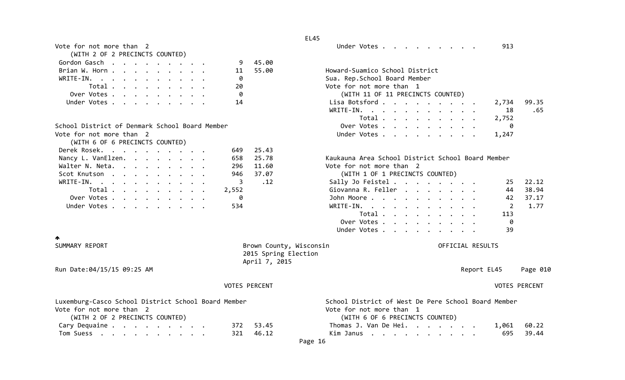| Vote for not more than 2                            |                      |                         | Under Votes<br>913                                  |          |
|-----------------------------------------------------|----------------------|-------------------------|-----------------------------------------------------|----------|
| (WITH 2 OF 2 PRECINCTS COUNTED)                     |                      |                         |                                                     |          |
| Gordon Gasch                                        | 9                    | 45.00                   |                                                     |          |
| Brian W. Horn                                       | 11                   | 55.00                   | Howard-Suamico School District                      |          |
| WRITE-IN.                                           | 0                    |                         | Sua. Rep. School Board Member                       |          |
| Total                                               | 20                   |                         | Vote for not more than 1                            |          |
| Over Votes                                          | 0                    |                         | (WITH 11 OF 11 PRECINCTS COUNTED)                   |          |
| Under Votes                                         | 14                   |                         | Lisa Botsford<br>2,734                              | 99.35    |
|                                                     |                      |                         | WRITE-IN.<br>18                                     | .65      |
|                                                     |                      |                         | Total<br>2,752                                      |          |
| School District of Denmark School Board Member      |                      |                         | Over Votes<br>0                                     |          |
| Vote for not more than 2                            |                      |                         | Under Votes<br>1,247                                |          |
| (WITH 6 OF 6 PRECINCTS COUNTED)                     |                      |                         |                                                     |          |
| Derek Rosek.                                        | 649                  | 25.43                   |                                                     |          |
| Nancy L. VanElzen.                                  | 658                  | 25.78                   | Kaukauna Area School District School Board Member   |          |
| Walter N. Neta.                                     | 296                  | 11.60                   | Vote for not more than 2                            |          |
| Scot Knutson                                        | 946                  | 37.07                   | (WITH 1 OF 1 PRECINCTS COUNTED)                     |          |
| WRITE-IN.                                           | 3                    | .12                     | Sally Jo Feistel<br>25                              | 22.12    |
| Total                                               | 2,552                |                         | Giovanna R. Feller<br>44                            | 38.94    |
| Over Votes                                          | 0                    |                         | John Moore<br>42                                    | 37.17    |
| Under Votes                                         | 534                  |                         | WRITE-IN.<br>2                                      | 1.77     |
|                                                     |                      |                         | Total $\cdots$ $\cdots$ $\cdots$<br>113             |          |
|                                                     |                      |                         | Over Votes<br>0                                     |          |
|                                                     |                      |                         | Under Votes<br>39                                   |          |
|                                                     |                      |                         |                                                     |          |
| SUMMARY REPORT                                      |                      | Brown County, Wisconsin | OFFICIAL RESULTS                                    |          |
|                                                     |                      | 2015 Spring Election    |                                                     |          |
|                                                     |                      | April 7, 2015           |                                                     |          |
| Run Date: 04/15/15 09:25 AM                         |                      |                         | Report EL45                                         | Page 010 |
|                                                     |                      |                         |                                                     |          |
|                                                     | <b>VOTES PERCENT</b> |                         | <b>VOTES PERCENT</b>                                |          |
| Luxemburg-Casco School District School Board Member |                      |                         | School District of West De Pere School Board Member |          |
| Vote for not more than 2                            |                      |                         | Vote for not more than 1                            |          |
| (WITH 2 OF 2 PRECINCTS COUNTED)                     |                      |                         | (WITH 6 OF 6 PRECINCTS COUNTED)                     |          |
| Cary Dequaine                                       | 372                  | 53.45                   | Thomas J. Van De Hei.<br>1,061                      | 60.22    |
| Tom Suess                                           | 321                  | 46.12                   | Kim Janus<br>695                                    | 39.44    |
|                                                     |                      | Page 16                 |                                                     |          |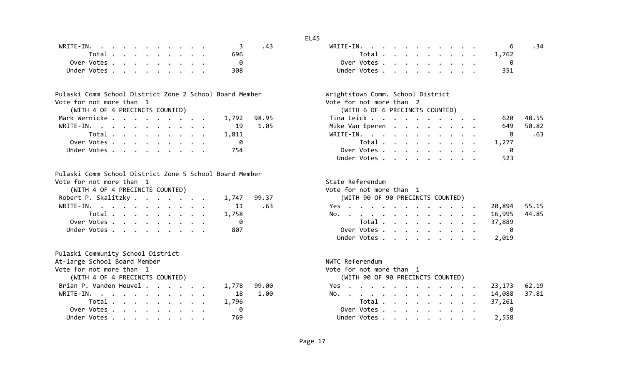| WRITE-IN. $\cdot$ , , , , , , , , , , , 3 , 43 |  |  |  |  |     | WRITE-IN. 6 |  |  |  |  |             |  |
|------------------------------------------------|--|--|--|--|-----|-------------|--|--|--|--|-------------|--|
| Total                                          |  |  |  |  | 696 |             |  |  |  |  | Total 1.762 |  |
| Over Votes                                     |  |  |  |  |     | Over Votes  |  |  |  |  |             |  |
| Under Votes                                    |  |  |  |  | 308 | Under Votes |  |  |  |  |             |  |

(WITH 4 OF 4 PRECINCTS COUNTED)

|  |  |  |  |  | Mark Wernicke 1,792 98.95 | Tina Leick      |  |  |  |  |  | 620         |
|--|--|--|--|--|---------------------------|-----------------|--|--|--|--|--|-------------|
|  |  |  |  |  | WRITE-IN. 19 1.05         | Mike Van Eperen |  |  |  |  |  | 649         |
|  |  |  |  |  | Total 1,811               | WRITE-IN.       |  |  |  |  |  | - 8         |
|  |  |  |  |  | Over Votes                |                 |  |  |  |  |  | Total 1,277 |
|  |  |  |  |  | Under Votes 754           |                 |  |  |  |  |  |             |

Pulaski Comm School District Zone 5 School Board Member Vote for not more than 1 State Referendum

(WITH 4 OF 4 PRECINCTS COUNTED) Vo

| Robert P. Skalitzky 1,747 99.37 |  |  |  |  | (WITH 90 OF 90 PRECINCTS COUNTED) |  |
|---------------------------------|--|--|--|--|-----------------------------------|--|
| WRITE-IN. 11 $.63$              |  |  |  |  | Yes 20,894                        |  |
| Total 1,758                     |  |  |  |  | No. 16,995                        |  |
| Over Votes0                     |  |  |  |  | Total 37,889                      |  |
|                                 |  |  |  |  | 0ver Votes 0                      |  |

| Pulaski Community School District     |                                   |
|---------------------------------------|-----------------------------------|
| At-large School Board Member          | NWTC Referendum                   |
| Vote for not more than 1              | Vote for not more than 1          |
| (WITH 4 OF 4 PRECINCTS COUNTED)       | (WITH 90 OF 90 PRECINCTS COUNTED) |
| Brian P. Vanden Heuvel 1,778<br>99.00 | 23,173<br>Yes.                    |
| WRITE-IN. 18<br>1.00                  | 14,088<br>No.                     |
| Total 1,796                           | Total<br>37,261                   |
|                                       |                                   |
| Under Votes<br>769                    | Under Votes 2,558                 |

|  |  |  |  |  |         | ----                                                              |  |  |  |  |
|--|--|--|--|--|---------|-------------------------------------------------------------------|--|--|--|--|
|  |  |  |  |  | . 3 .43 | WRITE-IN. 6                                                       |  |  |  |  |
|  |  |  |  |  | 1. 696  | Total 1,762                                                       |  |  |  |  |
|  |  |  |  |  |         | 0 ver Votes 0                                                     |  |  |  |  |
|  |  |  |  |  | s. 308  | Under Votes $\cdot \cdot \cdot \cdot \cdot \cdot \cdot \cdot$ 351 |  |  |  |  |

| ski Comm School District Zone 2 School Board Member | Wrightstown Comm. School District |
|-----------------------------------------------------|-----------------------------------|
| for not more than 1                                 | Vote for not more than 2          |
| (WITH 4 OF 4 PRECINCTS COUNTED)                     | (WITH 6 OF 6 PRECINCTS COUNTED)   |
| k Wernicke 1,792 98.95                              | Tina Leick<br>48.55<br>620        |
| TE-IN. 19 1.05                                      | 50.82<br>Mike Van Eperen<br>649   |
| Total 1,811                                         | .63<br>WRITE-IN. 8                |
| Over Votes 0                                        | Total 1,277                       |
| nder Votes 754                                      |                                   |
|                                                     | Under Votes<br>523                |

| not more than  1          |  | State Referendum                  |
|---------------------------|--|-----------------------------------|
| 4 OF 4 PRECINCTS COUNTED) |  | Vote for not more than 1          |
| . Skalitzky 1,747 99.37   |  | (WITH 90 OF 90 PRECINCTS COUNTED) |
| . 11 .63                  |  | 55.15<br>20,894<br>Yes.           |
| Total 1,758               |  | No. 16,995 44.85                  |
| Votes. 0                  |  | Total 37,889                      |
| Votes. 807                |  | Over Votes 0                      |
|                           |  | Under Votes 2,019                 |

| rge School Board Member        | NWTC Referendum                   |
|--------------------------------|-----------------------------------|
| for not more than 1            | Vote for not more than 1          |
| WITH 4 OF 4 PRECINCTS COUNTED) | (WITH 90 OF 90 PRECINCTS COUNTED) |
| n P. Vanden Heuvel 1,778 99.00 | Yes 23,173 62.19                  |
| E-IN. 18 1.00                  | No. 14,088 37.81                  |
| Total 1,796                    | Total 37,261                      |
| ver Votes 0                    | Over Votes0                       |
| der Votes 769                  | Under Votes 2,558                 |